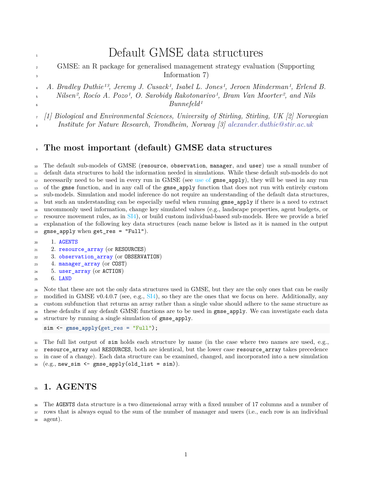# <span id="page-0-1"></span>1 Default GMSE data structures

- GMSE: an R package for generalised management strategy evaluation (Supporting <sup>3</sup> Information 7)
- *A. Bradley Duthie13, Jeremy J. Cusack1, Isabel L. Jones1, Jeroen Minderman1, Erlend B.*

 *Nilsen2, Rocío A. Pozo1, O. Sarobidy Rakotonarivo1, Bram Van Moorter2, and Nils Bunnefeld1*

*[1] Biological and Environmental Sciences, University of Stirling, Stirling, UK [2] Norwegian*

*Institute for Nature Research, Trondheim, Norway [3] [alexander.duthie@stir.ac.uk](mailto:alexander.duthie@stir.ac.uk)*

## **The most important (default) GMSE data structures**

 The default sub-models of GMSE (resource, observation, manager, and user) use a small number of default data structures to hold the information needed in simulations. While these default sub-models do not necessarily need to be used in every run in GMSE (see use of gmse\_apply), they will be used in any run of the gmse function, and in any call of the gmse\_apply function that does not run with entirely custom sub-models. Simulation and model inference do not require an understanding of the default data structures, but such an understanding can be especially useful when running gmse\_apply if there is a need to extract uncommonly used information, change key simulated values (e.g., landscape properties, agent budgets, or resource movement rules, as in SI4), or build custom individual-based sub-models. Here we provide a brief explanation of the following key data structures (each name below is listed as it is named in the output gmse\_apply when get\_res = "Full").

- 1. [AGENTS](#page-0-0)
- 21 2. resource array (or RESOURCES)
- 3. [observation\\_array](#page-2-0) (or OBSERVATION)
- 4. [manager\\_array](#page-4-0) (or COST)
- 5. [user\\_array](#page-5-0) (or ACTION)
- 6. [LAND](#page-7-0)

 Note that these are not the only data structures used in GMSE, but they are the only ones that can be easily 27 modified in GMSE v0.4.0.7 (see, e.g.,  $\text{SI4}$ ), so they are the ones that we focus on here. Additionally, any custom subfunction that returns an array rather than a single value should adhere to the same structure as these defaults if any default GMSE functions are to be used in gmse\_apply. We can investigate each data structure by running a single simulation of gmse\_apply.

```
sim <- gmse_apply(get_res = "Full");
```
<sup>31</sup> The full list output of sim holds each structure by name (in the case where two names are used, e.g., resource\_array and RESOURCES, both are identical, but the lower case resource\_array takes precedence in case of a change). Each data structure can be examined, changed, and incorporated into a new simulation (e.g., new\_sim <- gmse\_apply(old\_list = sim)).

## <span id="page-0-0"></span>**1. AGENTS**

 The AGENTS data structure is a two dimensional array with a fixed number of 17 columns and a number of rows that is always equal to the sum of the number of manager and users (i.e., each row is an individual

agent).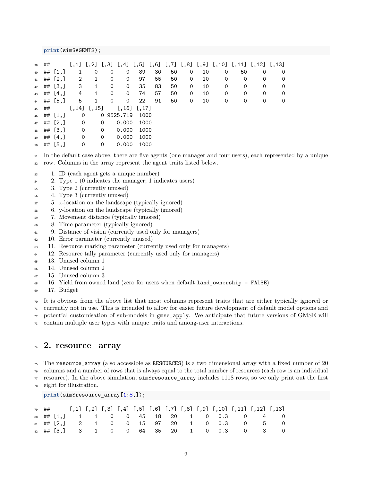#### **print**(sim\$AGENTS);

| 39 | ## |             |              |                 |   |                 |      |    |    |   |    |   | $[,1]$ $[,2]$ $[,3]$ $[,4]$ $[,5]$ $[,6]$ $[,7]$ $[,8]$ $[,9]$ $[,10]$ $[,11]$ $[,12]$ $[,13]$ |   |   |
|----|----|-------------|--------------|-----------------|---|-----------------|------|----|----|---|----|---|------------------------------------------------------------------------------------------------|---|---|
| 40 |    | $\#$ # [1,] | $\mathbf{1}$ | 0               | 0 | 0               | 89   | 30 | 50 | 0 | 10 | 0 | 50                                                                                             | 0 | 0 |
| 41 |    | ## $[2,]$   | 2            | 1               | 0 | 0               | 97   | 55 | 50 | 0 | 10 | 0 | 0                                                                                              | 0 | 0 |
| 42 |    | ## $[3,]$   | 3            | 1               | 0 | 0               | 35   | 83 | 50 | 0 | 10 | 0 | 0                                                                                              | 0 | 0 |
| 43 |    | ## $[4,]$   | 4            | 1               | 0 | $\Omega$        | 74   | 57 | 50 | 0 | 10 | 0 | 0                                                                                              | 0 | 0 |
| 44 |    | ## [5.]     | 5            | 1               | 0 | 0               | 22   | 91 | 50 | 0 | 10 | 0 | 0                                                                                              | 0 | 0 |
| 45 | ## |             |              | $[,14]$ $[,15]$ |   | $[,16]$ $[,17]$ |      |    |    |   |    |   |                                                                                                |   |   |
| 46 |    | ## $[1,]$   | $\mathbf 0$  |                 |   | 0 9525.719      | 1000 |    |    |   |    |   |                                                                                                |   |   |
| 47 |    | ## $[2,]$   | $\mathbf 0$  |                 | 0 | 0.000           | 1000 |    |    |   |    |   |                                                                                                |   |   |
| 48 |    | ## $[3,]$   | $\mathbf 0$  |                 | 0 | 0.000           | 1000 |    |    |   |    |   |                                                                                                |   |   |
| 49 |    | ## $[4,]$   | $\mathbf 0$  |                 | 0 | 0.000           | 1000 |    |    |   |    |   |                                                                                                |   |   |
| 50 |    | $##$ [5,]   | 0            |                 | 0 | 0.000           | 1000 |    |    |   |    |   |                                                                                                |   |   |

 In the default case above, there are five agents (one manager and four users), each represented by a unique row. Columns in the array represent the agent traits listed below.

- 1. ID (each agent gets a unique number)
- 2. Type 1 (0 indicates the manager; 1 indicates users)
- 3. Type 2 (currently unused)
- 4. Type 3 (currently unused)
- 5. x-location on the landscape (typically ignored)
- 6. y-location on the landscape (typically ignored)
- 7. Movement distance (typically ignored)
- 8. Time parameter (typically ignored)
- <sup>61</sup> 9. Distance of vision (currently used only for managers)
- <sup>62</sup> 10. Error parameter (currently unused)
- 11. Resource marking parameter (currently used only for managers)
- 12. Resource tally parameter (currently used only for managers)
- 13. Unused column 1
- 14. Unused column 2
- 15. Unused column 3
- 16. Yield from owned land (zero for users when default land\_ownership = FALSE)
- 17. Budget

 It is obvious from the above list that most columns represent traits that are either typically ignored or currently not in use. This is intended to allow for easier future development of default model options and

potential customisation of sub-models in gmse\_apply. We anticipate that future versions of GMSE will

<span id="page-1-0"></span>contain multiple user types with unique traits and among-user interactions.

## **2. resource\_array**

 The resource array (also accessible as RESOURCES) is a two dimensional array with a fixed number of 20 columns and a number of rows that is always equal to the total number of resources (each row is an individual

 $\tau$  resource). In the above simulation, sim\$resource\_array includes 1118 rows, so we only print out the first

eight for illustration.

#### **print**(sim\$resource\_array[1:8,]);

|  |  |  |  |  |  | $\begin{bmatrix} 1 & 0 \\ 0 & 0 \end{bmatrix}$ [1,1] [1,2] [1,3] [1,4] [1,5] [1,6] [1,7] [1,8] [1,9] [1,10] [1,11] [1,12] [1,13] |  |
|--|--|--|--|--|--|----------------------------------------------------------------------------------------------------------------------------------|--|
|  |  |  |  |  |  | 80 ## [1,] 1 1 0 0 45 18 20 1 0 0.3 0 4 0                                                                                        |  |
|  |  |  |  |  |  | $_{81}$ ## [2,] 2 1 0 0 15 97 20 1 0 0.3 0 5 0                                                                                   |  |
|  |  |  |  |  |  | 82 ## [3,] 3 1 0 0 64 35 20 1 0 0.3 0 3 0                                                                                        |  |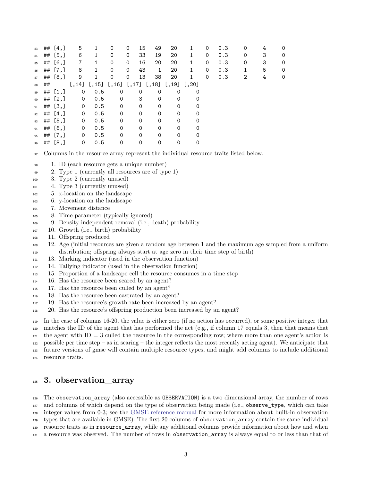| 83 |    | ## $[4,]$            | 5           | 1               | 0           | 15<br>0           | 49           | 20                                           | 1            | 0 | 0.3 | 0 | 4 | $\Omega$ |
|----|----|----------------------|-------------|-----------------|-------------|-------------------|--------------|----------------------------------------------|--------------|---|-----|---|---|----------|
| 84 |    | ## $[5,]$            | 6           | 1               | 0           | 33<br>0           | 19           | 20                                           | 1            | 0 | 0.3 | 0 | 3 | 0        |
| 85 | ## | [6,]                 | 7           | 1               | 0           | 16<br>0           | 20           | 20                                           | 1            | 0 | 0.3 | 0 | 3 | 0        |
| 86 |    | ## $[7,]$            | 8           | $\mathbf{1}$    | 0           | 43<br>$\mathbf 0$ | $\mathbf{1}$ | 20                                           | $\mathbf{1}$ | 0 | 0.3 | 1 | 5 | 0        |
| 87 |    | ## $[8,]$            | 9           | $\mathbf{1}$    | 0           | 13<br>0           | 38           | 20                                           | $\mathbf{1}$ | 0 | 0.3 | 2 | 4 | 0        |
| 88 | ## |                      |             | $[,14]$ $[,15]$ |             |                   |              | $[, 16]$ $[, 17]$ $[, 18]$ $[, 19]$ $[, 20]$ |              |   |     |   |   |          |
| 89 |    | ## $[1,]$            | 0           | 0.5             | 0           | 0                 | 0            | 0                                            | $\Omega$     |   |     |   |   |          |
| 90 |    | ## $[2,]$            | $\mathbf 0$ | 0.5             | $\mathbf 0$ | 3                 | $\Omega$     | $\Omega$                                     | $\Omega$     |   |     |   |   |          |
| 91 |    | ## $[3,]$            | $\mathbf 0$ | 0.5             | 0           | $\Omega$          | 0            | 0                                            | $\Omega$     |   |     |   |   |          |
| 92 | ## | [4,]                 | $\mathbf 0$ | 0.5             | 0           | 0                 | $\Omega$     | 0                                            |              |   |     |   |   |          |
| 93 |    | ## [5,]              | 0           | 0.5             | 0           | $\Omega$          | $\Omega$     | $\Omega$                                     | $\Omega$     |   |     |   |   |          |
| 94 | ## | [6,]                 | 0           | 0.5             | 0           | $\Omega$          | $\Omega$     | 0                                            | $\Omega$     |   |     |   |   |          |
| 95 | ## | $\lbrack 7, \rbrack$ | 0           | 0.5             | $\Omega$    | $\Omega$          | $\Omega$     | 0                                            | 0            |   |     |   |   |          |
| 96 |    | ## $[8, ]$           | $\mathbf 0$ | 0.5             | 0           | $\Omega$          | $\mathbf 0$  | 0                                            |              |   |     |   |   |          |

Columns in the resource array represent the individual resource traits listed below.

- 1. ID (each resource gets a unique number)
- <sup>99</sup> 2. Type 1 (currently all resources are of type 1)
- 3. Type 2 (currently unused)
- 4. Type 3 (currently unused)
- 5. x-location on the landscape
- 6. y-location on the landscape
- 7. Movement distance
- 8. Time parameter (typically ignored)
- 9. Density-independent removal (i.e., death) probability
- 10. Growth (i.e., birth) probability
- 11. Offspring produced
- 12. Age (initial resources are given a random age between 1 and the maximum age sampled from a uniform distribution; offspring always start at age zero in their time step of birth)
- 13. Marking indicator (used in the observation function)
- 14. Tallying indicator (used in the observation function)
- 15. Proportion of a landscape cell the resource consumes in a time step
- 16. Has the resource been scared by an agent?
- 17. Has the resource been culled by an agent?
- 18. Has the resource been castrated by an agent?
- 19. Has the resource's growth rate been increased by an agent?
- 20. Has the resource's offspring production been increased by an agent?

 In the case of columns 16-20, the value is either zero (if no action has occurred), or some positive integer that matches the ID of the agent that has performed the act (e.g., if column 17 equals 3, then that means that  $_{121}$  the agent with ID = 3 culled the resource in the corresponding row; where more than one agent's action is

122 possible per time step – as in scaring – the integer reflects the most recently acting agent). We anticipate that

future versions of gmse will contain multiple resource types, and might add columns to include additional

<span id="page-2-0"></span>resource traits.

## **3. observation\_array**

 The observation\_array (also accessible as OBSERVATION) is a two dimensional array, the number of rows and columns of which depend on the type of observation being made (i.e., observe\_type, which can take

integer values from 0-3; see the [GMSE reference manual](https://cran.r-project.org/package=GMSE) for more information about built-in observation

types that are available in GMSE). The first 20 columns of observation\_array contain the same individual

resource traits as in resource\_array, while any additional columns provide information about how and when

a resource was observed. The number of rows in observation\_array is always equal to or less than that of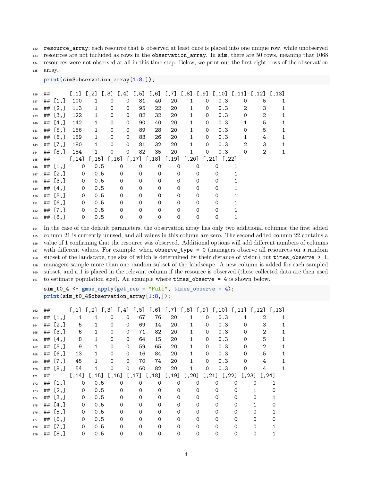132 resource array; each resource that is observed at least once is placed into one unique row, while unobserved resources are not included as rows in the observation\_array. In sim, there are 50 rows, meaning that 1068 resources were not observed at all in this time step. Below, we print out the first eight rows of the observation array.

**print**(sim\$observation\_array[1:8,]);

| 136 | ## |            |             |              |   |             |          |          |          |              |          | $[,1]$ $[,2]$ $[,3]$ $[,4]$ $[,5]$ $[,6]$ $[,7]$ $[,8]$ $[,9]$ $[,10]$ $[,11]$ $[,12]$ $[,13]$ |   |              |  |
|-----|----|------------|-------------|--------------|---|-------------|----------|----------|----------|--------------|----------|------------------------------------------------------------------------------------------------|---|--------------|--|
| 137 |    | ## $[1,]$  | 100         | $\mathbf{1}$ | 0 | $\Omega$    | 81       | 40       | 20       | 1            | 0        | 0.3                                                                                            | 0 | 5            |  |
| 138 |    | ## $[2,]$  | 113         | $\mathbf{1}$ | 0 | $\Omega$    | 95       | 22       | 20       | 1            | $\Omega$ | 0.3                                                                                            | 2 | 3            |  |
| 139 | ## | [3,]       | 122         | $\mathbf{1}$ | 0 | 0           | 82       | 32       | 20       | $\mathbf{1}$ | $\Omega$ | 0.3                                                                                            | 0 | $\mathbf{2}$ |  |
| 140 |    | ## $[4, ]$ | 142         | $\mathbf{1}$ | 0 | 0           | 90       | 40       | 20       | $\mathbf{1}$ | $\Omega$ | 0.3                                                                                            | 1 | 5            |  |
| 141 |    | ## [5,]    | 156         | $\mathbf{1}$ | 0 | 0           | 89       | 28       | 20       | $\mathbf{1}$ | $\Omega$ | 0.3                                                                                            | 0 | 5            |  |
| 142 |    | ## [6, ]   | 159         | $\mathbf{1}$ | 0 | 0           | 83       | 26       | 20       | 1            | $\Omega$ | 0.3                                                                                            | 1 | 4            |  |
| 143 |    | ## $[7,]$  | 180         | $\mathbf{1}$ | 0 | 0           | 81       | 32       | 20       | 1            | 0        | 0.3                                                                                            | 2 | 3            |  |
| 144 |    | ## $[8, ]$ | 184         | 1            | 0 | 0           | 82       | 35       | 20       | 1            | 0        | 0.3                                                                                            | 0 | 2            |  |
| 145 | ## |            |             |              |   |             |          |          |          |              |          | $[, 14]$ $[, 15]$ $[, 16]$ $[, 17]$ $[, 18]$ $[, 19]$ $[, 20]$ $[, 21]$ $[, 22]$               |   |              |  |
| 146 |    | ## $[1,]$  | 0           | 0.5          |   | $\mathbf 0$ | 0        | 0        | 0        |              | 0        | 0                                                                                              |   |              |  |
| 147 |    | ## $[2,]$  | $\mathbf 0$ | 0.5          |   | $\Omega$    | $\Omega$ | $\Omega$ | $\Omega$ |              | 0        | 0                                                                                              |   |              |  |
| 148 |    | ## [3, ]   | $\mathbf 0$ | 0.5          |   | $\Omega$    | 0        | $\Omega$ | $\Omega$ |              | $\Omega$ | $\Omega$                                                                                       |   |              |  |
| 149 |    | ## $[4,]$  | $\mathbf 0$ | 0.5          |   | $\Omega$    | 0        | $\Omega$ | $\Omega$ |              | $\Omega$ | $\Omega$                                                                                       |   |              |  |
| 150 |    | ## [5, ]   | $\mathbf 0$ | 0.5          |   | $\Omega$    | 0        | 0        | $\Omega$ |              | 0        | $\Omega$                                                                                       |   |              |  |
| 151 |    | ## $[6, ]$ | $\mathbf 0$ | 0.5          |   | $\Omega$    | 0        | 0        | $\Omega$ |              | 0        | $\Omega$                                                                                       |   |              |  |
| 152 | ## | [7,]       | 0           | 0.5          |   | $\Omega$    | $\Omega$ | $\Omega$ | $\Omega$ |              | $\Omega$ | $\Omega$                                                                                       |   |              |  |
| 153 |    | ## $[8, ]$ | 0           | 0.5          |   | 0           | 0        | 0        | 0        |              | 0        | 0                                                                                              |   |              |  |

 In the case of the default parameters, the observation array has only two additional columns; the first added column 21 is currently unused, and all values in this column are zero. The second added column 22 contains a value of 1 confirming that the resource was observed. Additional options will add different numbers of columns with different values. For example, when observe\_type = 0 (managers observe all resources on a random subset of the landscape, the size of which is determined by their distance of vision) but times\_observe > 1, managers sample more than one random subset of the landscape. A new column is added for each sampled subset, and a 1 is placed in the relevant column if the resource is observed (these collected data are then used to estimate population size). An example where times\_observe = 4 is shown below.

```
sim t0 4 <- gmse apply(get res = "Full", times observe = 4);
print(sim_t0_4$observation_array[1:8,]);
```

| 162 | ## |            |             | $[,1]$ $[,2]$ $[,3]$ $[,4]$ $[,5]$ $[,6]$ $[,7]$ $[,8]$ $[,9]$ $[,10]$ $[,11]$ $[,12]$ $[,13]$ |             |          |          |          |                                         |              |          |                         |   |          |                      |  |
|-----|----|------------|-------------|------------------------------------------------------------------------------------------------|-------------|----------|----------|----------|-----------------------------------------|--------------|----------|-------------------------|---|----------|----------------------|--|
| 163 |    | ## $[1,]$  |             | 1                                                                                              | 0           | 0        | 67       | 76       | 20                                      | $\mathbf{1}$ | 0        | 0.3                     |   |          | 2                    |  |
| 164 |    | ## $[2,]$  | 5           | $\mathbf{1}$                                                                                   | $\mathbf 0$ | $\Omega$ | 69       | 14       | 20                                      | $\mathbf{1}$ | 0        | 0.3                     |   |          | 3                    |  |
| 165 |    | ## [3, ]   | 6           | 1                                                                                              | $\Omega$    | $\Omega$ | 71       | 82       | 20                                      | 1.           | $\Omega$ | 0.3                     |   | 0        | $\mathcal{D}_{1}$    |  |
| 166 |    | ## $[4,]$  | 8           | 1                                                                                              | $\Omega$    | $\Omega$ | 64       | 15       | 20                                      |              | $\Omega$ | 0.3                     |   | $\Omega$ | 5                    |  |
| 167 |    | ## [5, ]   | 9           | 1                                                                                              | $\Omega$    | $\Omega$ | 59       | 65       | 20                                      |              | $\Omega$ | 0.3                     |   | $\Omega$ | 2                    |  |
| 168 |    | ## $[6, ]$ | 13          | 1                                                                                              | $\Omega$    | $\Omega$ | 16       | 84       | 20                                      | $\mathbf{1}$ | $\Omega$ | 0.3                     |   | $\Omega$ | 5                    |  |
| 169 |    | ## $[7,]$  | 45          |                                                                                                | $\Omega$    | $\Omega$ | 70       | 74       | 20                                      | $\mathbf{1}$ | $\Omega$ | 0.3                     |   | 0        | 4                    |  |
| 170 |    | ## $[8, ]$ | 54          | $\mathbf{1}$                                                                                   | 0           | 0        | 60       | 82       | 20                                      |              | 0        | 0.3                     |   | $\Omega$ | 4                    |  |
| 171 | ## |            |             | $[,14]$ $[,15]$                                                                                |             |          |          |          | $[,16]$ $[,17]$ $[,18]$ $[,19]$ $[,20]$ |              |          | $[,21]$ $[,22]$ $[,23]$ |   |          | $\left[ .24 \right]$ |  |
| 172 |    | ## $[1,]$  | 0           | 0.5                                                                                            |             | $\Omega$ | 0        | 0        | 0                                       |              | $\Omega$ | O                       | 0 | O        |                      |  |
| 173 |    | ## $[2,]$  | $\mathbf 0$ | 0.5                                                                                            |             | 0        | $\Omega$ | $\Omega$ | 0                                       |              | 0        |                         | 0 |          |                      |  |
| 174 |    | ## $[3,]$  | $\mathbf 0$ | 0.5                                                                                            |             | 0        | $\Omega$ | $\Omega$ | $\Omega$                                |              | 0        | 0                       | 0 |          |                      |  |
| 175 |    | ## $[4,]$  | $\mathbf 0$ | 0.5                                                                                            |             | $\Omega$ | 0        | $\Omega$ | $\Omega$                                |              | 0        | 0                       | Ω |          |                      |  |
| 176 |    | ## [5, ]   | $\mathbf 0$ | 0.5                                                                                            |             | $\Omega$ | 0        | 0        | 0                                       |              | 0        | 0                       | 0 |          |                      |  |
|     |    |            |             |                                                                                                |             |          |          |          |                                         |              |          |                         |   |          |                      |  |
| 177 |    | ## [6, ]   | 0           | 0.5                                                                                            |             | 0        | 0        | $\Omega$ | $\Omega$                                |              | 0        | 0                       | 0 | 0        |                      |  |
| 178 | ## | [7,]       | $\Omega$    | 0.5                                                                                            |             | ∩        | 0        | $\Omega$ | $\Omega$                                |              | 0        | ∩                       | 0 |          |                      |  |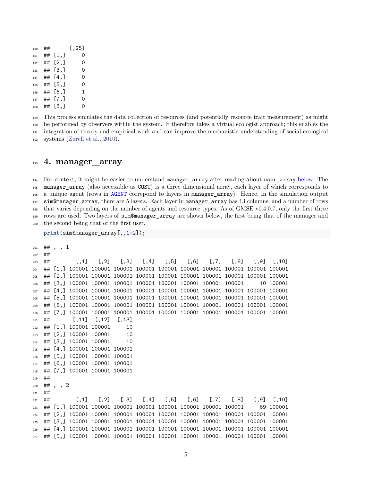| 180 | ## |                    | [, 25] |
|-----|----|--------------------|--------|
| 181 | ## | $\left[1, \right]$ | 0      |
| 182 | ## | [2,]               | Ω      |
| 183 | ## | [3,]               | Ω      |
| 184 | ## | [4,]               | Ω      |
| 185 | ## | [5,]               | Ω      |
| 186 | ## | [6, ]              | 1      |
| 187 | ## | [7,]               | ი      |
| 188 | ## | [8.1               | ∩      |
|     |    |                    |        |

 This process simulates the data collection of resources (and potentially resource trait measurement) as might be performed by observers within the system. It therefore takes a virtual ecologist approach; this enables the integration of theory and empirical work and can improve the mechanistic understanding of social-ecological systems [\(Zurell et al.,](#page-8-0) [2010\)](#page-8-0).

### <span id="page-4-0"></span>**4. manager\_array**

<sup>194</sup> For context, it might be easier to understand manager\_array after reading about user\_array [below.](#page-5-0) The manager\_array (also accessible as COST) is a three dimensional array, each layer of which corresponds to a unique agent (rows in [AGENT](#page-0-0) correpond to layers in manager\_array). Hence, in the simulation output sim\$manager\_array, there are 5 layers. Each layer in manager\_array has 13 columns, and a number of rows that varies depending on the number of agents and resource types. As of GMSE v0.4.0.7, only the first three rows are used. Two layers of sim\$manager\_array are shown below, the first being that of the manager and the second being that of the first user.

**print**(sim\$manager\_array[,,1:2]);

```
201 ## , , 1
202 ##
203 ## [,1] [,2] [,3] [,4] [,5] [,6] [,7] [,8] [,9] [,10]
204 ## [1,] 100001 100001 100001 100001 100001 100001 100001 100001 100001 100001
205 ## [2,] 100001 100001 100001 100001 100001 100001 100001 100001 100001 100001
206 ## [3,] 100001 100001 100001 100001 100001 100001 100001 100001 10 100001
207 ## [4,] 100001 100001 100001 100001 100001 100001 100001 100001 100001 100001
208 ## [5,] 100001 100001 100001 100001 100001 100001 100001 100001 100001 100001
209 ## [6,] 100001 100001 100001 100001 100001 100001 100001 100001 100001 100001
210 ## [7,] 100001 100001 100001 100001 100001 100001 100001 100001 100001 100001
211 ## [,11] [,12] [,13]
212 ## [1,] 100001 100001 10
213 ## [2,] 100001 100001 10
214 ## [3,] 100001 100001 10
215 ## [4,] 100001 100001 100001
216 ## [5,] 100001 100001 100001
217 ## [6,] 100001 100001 100001
218 ## [7,] 100001 100001 100001
219 ##
220 ## , , 2
221 ##
222 ## [,1] [,2] [,3] [,4] [,5] [,6] [,7] [,8] [,9] [,10]
223 ## [1,] 100001 100001 100001 100001 100001 100001 100001 100001 69 100001
224 ## [2,] 100001 100001 100001 100001 100001 100001 100001 100001 100001 100001
225 ## [3,] 100001 100001 100001 100001 100001 100001 100001 100001 100001 100001
226 ## [4,] 100001 100001 100001 100001 100001 100001 100001 100001 100001 100001
227 ## [5,] 100001 100001 100001 100001 100001 100001 100001 100001 100001 100001
```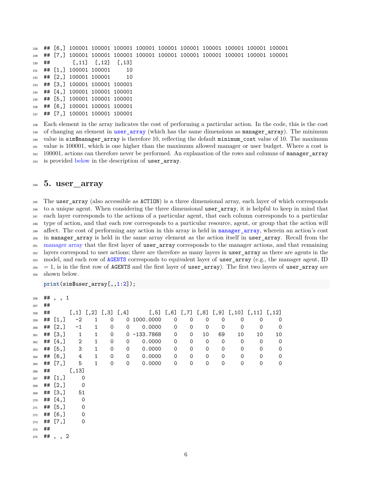## [6,] 100001 100001 100001 100001 100001 100001 100001 100001 100001 100001 ## [7,] 100001 100001 100001 100001 100001 100001 100001 100001 100001 100001 ## [,11] [,12] [,13] ## [1,] 100001 100001 10 ## [2,] 100001 100001 10 ## [3,] 100001 100001 100001 ## [4,] 100001 100001 100001 ## [5,] 100001 100001 100001 ## [6,] 100001 100001 100001 ## [7,] 100001 100001 100001

 Each element in the array indicates the cost of performing a particular action. In the code, this is the cost <sup>239</sup> of changing an element in [user\\_array](#page-5-0) (which has the same dimensions as manager\_array). The minimum value in sim\$manager\_array is therefore 10, reflecting the default minimum\_cost value of 10. The maximum value is 100001, which is one higher than the maximum allowed manager or user budget. Where a cost is 100001, actions can therefore never be performed. An explanation of the rows and columns of manager\_array is provided [below](#page-5-0) in the description of user\_array.

## <span id="page-5-0"></span>**5. user\_array**

 The user\_array (also accessible as ACTION) is a three dimensional array, each layer of which corresponds to a unique agent. When considering the three dimensional user\_array, it is helpful to keep in mind that each layer corresponds to the actions of a particular agent, that each column corresponds to a particular type of action, and that each row corresponds to a particular resource, agent, or group that the action will <sup>249</sup> affect. The cost of performing any action in this array is held in [manager\\_array](#page-4-0), wherein an action's cost in manager\_array is held in the same array element as the action itself in user\_array. Recall from the <sub>251</sub> [manager array](#page-4-0) that the first layer of user array corresponds to the manager actions, and that remaining <sup>252</sup> layers correspond to user actions; there are therefore as many layers in user array as there are agents in the <sub>253</sub> model, and each row of [AGENTS](#page-0-0) corresponds to equivalent layer of user array (e.g., the manager agent, ID  $_{254}$  = 1, is in the first row of AGENTS and the first layer of user array). The first two layers of user array are shown below.

**print**(sim\$user\_array[,,1:2]);

| 256 |    | $##$ , , 1 |                  |              |             |             |                                                                                                    |             |             |             |             |             |             |             |
|-----|----|------------|------------------|--------------|-------------|-------------|----------------------------------------------------------------------------------------------------|-------------|-------------|-------------|-------------|-------------|-------------|-------------|
| 257 | ## |            |                  |              |             |             |                                                                                                    |             |             |             |             |             |             |             |
| 258 | ## |            |                  |              |             |             | $[0,1]$ $[0,2]$ $[0,3]$ $[0,4]$ $[0,5]$ $[0,6]$ $[0,7]$ $[0,8]$ $[0,9]$ $[0,10]$ $[0,11]$ $[0,12]$ |             |             |             |             |             |             |             |
| 259 |    | ## $[1,]$  | $-2$             | 1            | 0           |             | 0 1000.0000                                                                                        | 0           | 0           | 0           | 0           | 0           | 0           | 0           |
| 260 |    | ## $[2,]$  | $-1$             | $\mathbf{1}$ | 0           | $\mathbf 0$ | 0.0000                                                                                             | 0           | 0           | 0           | 0           | 0           | 0           | $\mathbf 0$ |
| 261 |    | ## $[3,]$  | $\mathbf{1}$     | $\mathbf{1}$ | 0           |             | $0 - 133.7868$                                                                                     | 0           | $\mathbf 0$ | 10          | 69          | 10          | 10          | 10          |
| 262 |    | ## $[4,]$  | $\overline{2}$   | $\mathbf{1}$ | 0           | 0           | 0.0000                                                                                             | 0           | $\mathbf 0$ | 0           | $\mathbf 0$ | $\mathbf 0$ | 0           | 0           |
| 263 |    | ## $[5,]$  | 3                | $\mathbf{1}$ | 0           | $\mathbf 0$ | 0.0000                                                                                             | $\mathbf 0$ | $\mathbf 0$ | 0           | $\mathbf 0$ | 0           | 0           | 0           |
| 264 |    | ## $[6, ]$ | $\ensuremath{4}$ | $\mathbf{1}$ | 0           | 0           | 0.0000                                                                                             | $\mathbf 0$ | $\mathbf 0$ | $\mathbf 0$ | $\mathbf 0$ | 0           | 0           | 0           |
| 265 |    | ## $[7, ]$ | 5                | $\mathbf{1}$ | $\mathbf 0$ | $\mathbf 0$ | 0.0000                                                                                             | 0           | $\mathbf 0$ | $\mathbf 0$ | 0           | $\Omega$    | $\mathbf 0$ | 0           |
| 266 | ## |            | [, 13]           |              |             |             |                                                                                                    |             |             |             |             |             |             |             |
| 267 |    | ## $[1,]$  | 0                |              |             |             |                                                                                                    |             |             |             |             |             |             |             |
| 268 |    | ## $[2,]$  | 0                |              |             |             |                                                                                                    |             |             |             |             |             |             |             |
| 269 |    | ## [3, ]   | 51               |              |             |             |                                                                                                    |             |             |             |             |             |             |             |
| 270 |    | ## $[4,]$  | $\overline{0}$   |              |             |             |                                                                                                    |             |             |             |             |             |             |             |
| 271 |    | ## $[5,]$  | $\mathbf 0$      |              |             |             |                                                                                                    |             |             |             |             |             |             |             |
| 272 |    | ## $[6, ]$ | $\mathbf 0$      |              |             |             |                                                                                                    |             |             |             |             |             |             |             |
| 273 |    | ## $[7,]$  | 0                |              |             |             |                                                                                                    |             |             |             |             |             |             |             |
| 274 | ## |            |                  |              |             |             |                                                                                                    |             |             |             |             |             |             |             |
| 275 |    | $##$ , , 2 |                  |              |             |             |                                                                                                    |             |             |             |             |             |             |             |
|     |    |            |                  |              |             |             |                                                                                                    |             |             |             |             |             |             |             |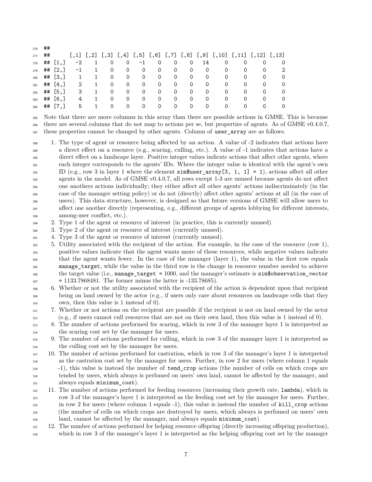| 276 | ## |             |                |                |                |                          |                |         |                |                |          |          |                                                                                                |          |          |
|-----|----|-------------|----------------|----------------|----------------|--------------------------|----------------|---------|----------------|----------------|----------|----------|------------------------------------------------------------------------------------------------|----------|----------|
| 277 | ## |             |                |                |                |                          |                |         |                |                |          |          | $[,1]$ $[,2]$ $[,3]$ $[,4]$ $[,5]$ $[,6]$ $[,7]$ $[,8]$ $[,9]$ $[,10]$ $[,11]$ $[,12]$ $[,13]$ |          |          |
| 278 |    | ## $[1,]$   | $-2$           | $\overline{1}$ | 0              | $\overline{\phantom{0}}$ | $-1$           | 0       | $\mathbf 0$    | $\overline{0}$ | 14       | 0        | 0                                                                                              | 0        | $\Omega$ |
| 279 |    | ## $[2,]$   | $-1$           | $\mathbf{1}$   |                | $0\qquad 0$              | $\overline{0}$ | $\circ$ | $\Omega$       | $\overline{0}$ | $\Omega$ | 0        | 0                                                                                              | $\Omega$ | -2       |
| 280 |    | ## $[3,]$   | 1              | $\overline{1}$ | $\circ$        | $\overline{0}$           | $\circ$        | $\circ$ | $\overline{O}$ | $\circ$        | $\Omega$ | $\Omega$ | $\Omega$                                                                                       | 0        | $\Omega$ |
| 281 |    | ## $[4.]$   | $\overline{2}$ | $\overline{1}$ | $\overline{0}$ | $\overline{O}$           | $\overline{0}$ | $\circ$ | $\overline{O}$ | $\mathbf{0}$   | $\Omega$ | $\Omega$ | $\Omega$                                                                                       | $\Omega$ | $\Omega$ |
| 282 |    | ## $[5, 1]$ | 3              | $\mathbf{1}$   | $\circ$        | $\mathbf 0$              | $\circ$        | $\circ$ | $\Omega$       | $\Omega$       | $\Omega$ | 0        | 0                                                                                              | $\Omega$ | $\Omega$ |
| 283 |    | ## $[6, ]$  | 4              | $\overline{1}$ | 0              | $\Omega$                 | $\Omega$       | 0       | 0              | $\Omega$       | 0        | 0        | $\Omega$                                                                                       | $\Omega$ | $\Omega$ |
| 284 |    | ## $[7.1]$  | 5              | 1              | 0              | $\Omega$                 | $\Omega$       | 0       | 0              | $\Omega$       | 0        | 0        | 0                                                                                              | ∩        | $\Omega$ |

 Note that there are more columns in this array than there are possible actions in GMSE. This is because there are several columns that do not map to actions per se, but properties of agents. As of GMSE v0.4.0.7, <sup>287</sup> these properties cannot be changed by other agents. Column of user\_array are as follows.

 1. The type of agent or resource being affected by an action. A value of -2 indicates that actions have a direct effect on a resource (e.g., scaring, culling, etc.). A value of -1 indicates that actions have a direct effect on a landscape layer. Positive integer values indicate actions that affect other agents, where each integer corresponds to the agents' IDs. Where the integer value is identical with the agent's own 292 ID (e.g., row 3 in layer 1 where the element sim \$user array [3, 1, 1] = 1), actions affect all other agents in the model. As of GMSE v0.4.0.7, all rows except 1-3 are unused because agents do not affect one anothers actions individually; they either affect all other agents' actions indiscriminately (in the case of the manager setting policy) or do not (directly) affect other agents' actions at all (in the case of users). This data structure, however, is designed so that future versions of GMSE will allow users to affect one another directly (representing, e.g., different groups of agents lobbying for different interests, among-user conflict, etc.).

2. Type 1 of the agent or resource of interest (in practice, this is currently unused).

3. Type 2 of the agent or resource of interest (currently unused).

4. Type 3 of the agent or resource of interest (currently unused).

- 5. Utility associated with the recipient of the action. For example, in the case of the resource (row 1), positive values indicate that the agent wants more of these resources, while negative values indicate that the agent wants fewer. In the case of the manager (layer 1), the value in the first row equals manage\_target, while the value in the third row is the change in resource number needed to achieve the target value (i.e., manage\_target = 1000, and the manager's estimate is sim\$observation\_vector = 1133.7868481. The former minus the latter is -133.78685).
- 6. Whether or not the utility associated with the recipient of the action is dependent upon that recipient <sup>309</sup> being on land owned by the actor (e.g., if users only care about resources on landscape cells that they own, then this value is 1 instead of 0).
- 7. Whether or not actions on the recipient are possible if the recipient is not on land owned by the actor (e.g., if users cannot cull resources that are not on their own land, then this value is 1 instead of 0).
- 8. The number of actions performed for scaring, which in row 3 of the manager layer 1 is interpreted as the scaring cost set by the manager for users.
- 9. The number of actions performed for culling, which in row 3 of the manager layer 1 is interpreted as the culling cost set by the manager for users.
- 10. The number of actions performed for castration, which in row 3 of the manager's layer 1 is interpreted as the castration cost set by the manager for users. Further, in row 2 for users (where column 1 equals -1), this value is instead the number of tend\_crop actions (the number of cells on which crops are
- tended by users, which always is perfomed on users' own land, cannot be affected by the manager, and always equals minimum\_cost).
- 11. The number of actions performed for feeding resources (increasing their growth rate, lambda), which in row 3 of the manager's layer 1 is interpreted as the feeding cost set by the manager for users. Further, in row 2 for users (where column 1 equals -1), this value is instead the number of kill\_crop actions (the number of cells on which crops are destroyed by users, which always is perfomed on users' own land, cannot be affected by the manager, and always equals minimum\_cost)
- 12. The number of actions performed for helping resource offspring (directly increasing offspring production),
- which in row 3 of the manager's layer 1 is interpreted as the helping offspring cost set by the manager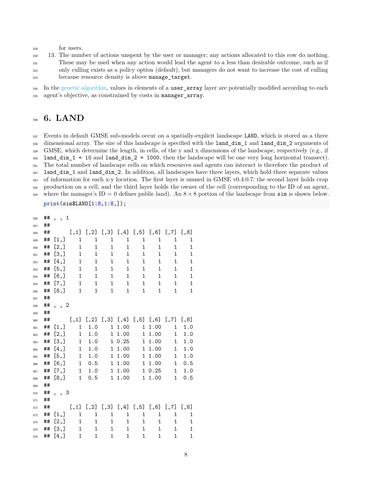#### for users.

 13. The number of actions unspent by the user or manager; any actions allocated to this row do nothing. These may be used when any action would lead the agent to a less than desirable outcome, such as if only culling exists as a policy option (default), but managers do not want to increase the cost of culling because resource density is above manage\_target.

<span id="page-7-0"></span><sup>334</sup> In the [genetic algorithm,](#page-0-1) values in elements of a **user array** layer are potentially modified according to each agent's objective, as constrained by costs in manager\_array.

# **6. LAND**

 Events in default GMSE sub-models occur on a spatially-explicit landscape LAND, which is stored as a three dimensional array. The size of this landscape is specified with the land\_dim\_1 and land\_dim\_2 arguments of GMSE, which determine the length, in cells, of the y and x dimensions of the landscape, respectively (e.g., if land\_dim\_1 = 10 and land\_dim\_2 = 1000, then the landscape will be one very long horizontal transect). <sup>341</sup> The total number of landscape cells on which resources and agents can interact is therefore the product of land\_dim\_1 and land\_dim\_2. In addition, all landscapes have three layers, which hold three separate values 343 of information for each x-y location. The first layer is unused in GMSE v0.4.0.7; the second layer holds crop production on a cell, and the third layer holds the owner of the cell (corresponding to the ID of an agent, 345 where the manager's  $ID = 0$  defines public land). An  $8 \times 8$  portion of the landscape from sim is shown below.

**print**(sim\$LAND[1:8,1:8,]);

| 346 | ## | , , 1   |              |              |              |                                                         |              |              |              |              |
|-----|----|---------|--------------|--------------|--------------|---------------------------------------------------------|--------------|--------------|--------------|--------------|
| 347 | ## |         |              |              |              |                                                         |              |              |              |              |
| 348 | ## |         |              |              |              | $[,1]$ $[,2]$ $[,3]$ $[,4]$ $[,5]$ $[,6]$ $[,7]$ $[,8]$ |              |              |              |              |
| 349 | ## | [1,]    | $\mathbf{1}$ | 1            | 1            | 1                                                       | 1            | 1            | 1            | 1            |
| 350 | ## | [2,]    | $\mathbf 1$  | $\mathbf 1$  | $\mathbf 1$  | $\mathbf{1}$                                            | $\mathbf{1}$ | $\mathbf{1}$ | $\mathbf{1}$ | 1            |
| 351 | ## | [3,]    | $\mathbf{1}$ | $\mathbf 1$  | 1            | $\mathbf{1}$                                            | $\mathbf{1}$ | $\mathbf{1}$ | $\mathbf{1}$ | 1            |
| 352 | ## | [4,]    | $\mathbf{1}$ | $\mathbf{1}$ | 1            | $\mathbf{1}$                                            | $\mathbf{1}$ | $\mathbf{1}$ | 1            | 1            |
| 353 | ## | [5,]    | $\mathbf{1}$ | $\mathbf{1}$ | 1            | $\mathbf{1}$                                            | $\mathbf{1}$ | $\mathbf 1$  | $\mathbf{1}$ | 1            |
| 354 | ## | $[6,$ ] | $\mathbf{1}$ | 1            | $\mathbf{1}$ | 1                                                       | $\mathbf{1}$ | $\mathbf{1}$ | 1            | 1            |
| 355 | ## | [7,]    | $\mathbf{1}$ | $\mathbf{1}$ | $\mathbf{1}$ | $\mathbf{1}$                                            | $\mathbf{1}$ | $\mathbf{1}$ | $\mathbf{1}$ | $\mathbf{1}$ |
| 356 | ## | [8,]    | $\mathbf{1}$ | $\mathbf{1}$ | 1            | $\mathbf{1}$                                            | $\mathbf{1}$ | $\mathbf{1}$ | 1            | 1            |
| 357 | ## |         |              |              |              |                                                         |              |              |              |              |
| 358 | ## | , , 2   |              |              |              |                                                         |              |              |              |              |
| 359 | ## |         |              |              |              |                                                         |              |              |              |              |
| 360 | ## |         |              |              |              | $[,1]$ $[,2]$ $[,3]$ $[,4]$ $[,5]$ $[,6]$ $[,7]$ $[,8]$ |              |              |              |              |
| 361 | ## | [1,]    | $\mathbf{1}$ | 1.0          |              | 1 1.00                                                  | 1            | 1.00         | $\mathbf{1}$ | 1.0          |
| 362 | ## | [2,]    | $\mathbf{1}$ | 1.0          | $\mathbf{1}$ | 1.00                                                    |              | 1 1.00       | $\mathbf{1}$ | 1.0          |
| 363 | ## | [3,]    | $\mathbf{1}$ | 1.0          | 1            | 0.25                                                    | 1            | 1.00         | 1            | 1.0          |
| 364 | ## | [4,]    | $\mathbf 1$  | 1.0          | $\mathbf{1}$ | 1.00                                                    | 1            | 1.00         | $\mathbf{1}$ | 1.0          |
| 365 | ## | [5,]    | $\mathbf{1}$ | 1.0          | $\mathbf{1}$ | 1.00                                                    |              | 1 1.00       | $\mathbf{1}$ | 1.0          |
| 366 | ## | $[6,$ ] | $\mathbf{1}$ | 0.5          | $\mathbf{1}$ | 1.00                                                    |              | 1 1.00       | $\mathbf{1}$ | 0.5          |
| 367 | ## | [7,]    | $\mathbf{1}$ | 1.0          |              | 1 1.00                                                  |              | 10.25        | $\mathbf{1}$ | $1.0$        |
| 368 | ## | [8,]    | $\mathbf{1}$ | $0.5$        |              | 1 1.00                                                  |              | 1 1.00       | $\mathbf{1}$ | 0.5          |
| 369 | ## |         |              |              |              |                                                         |              |              |              |              |
| 370 | ## | , , 3   |              |              |              |                                                         |              |              |              |              |
| 371 | ## |         |              |              |              |                                                         |              |              |              |              |
| 372 | ## |         | [, 1]        |              |              | $[0,2]$ $[0,3]$ $[0,4]$ $[0,5]$ $[0,6]$ $[0,7]$ $[0,8]$ |              |              |              |              |
| 373 | ## | [1,]    | $\mathbf{1}$ | $\mathbf{1}$ | $\mathbf{1}$ | $\mathbf{1}$                                            | 1            | $\mathbf{1}$ | $\mathbf{1}$ | 1            |
| 374 | ## | [2,]    | $\mathbf{1}$ | $\mathbf{1}$ | $\mathbf{1}$ | $\mathbf{1}$                                            | $\mathbf{1}$ | $\mathbf{1}$ | $\mathbf{1}$ | 1            |
| 375 | ## | [3,]    | $\mathbf{1}$ | $\mathbf{1}$ | $\mathbf{1}$ | 1                                                       | $\mathbf{1}$ | 1            | $\mathbf{1}$ | 1            |
| 376 | ## | [4,]    | $\mathbf 1$  | $\mathbf{1}$ | $\mathbf 1$  | $\mathbf{1}$                                            | $\mathbf{1}$ | $\mathbf 1$  | $\mathbf 1$  | 1            |